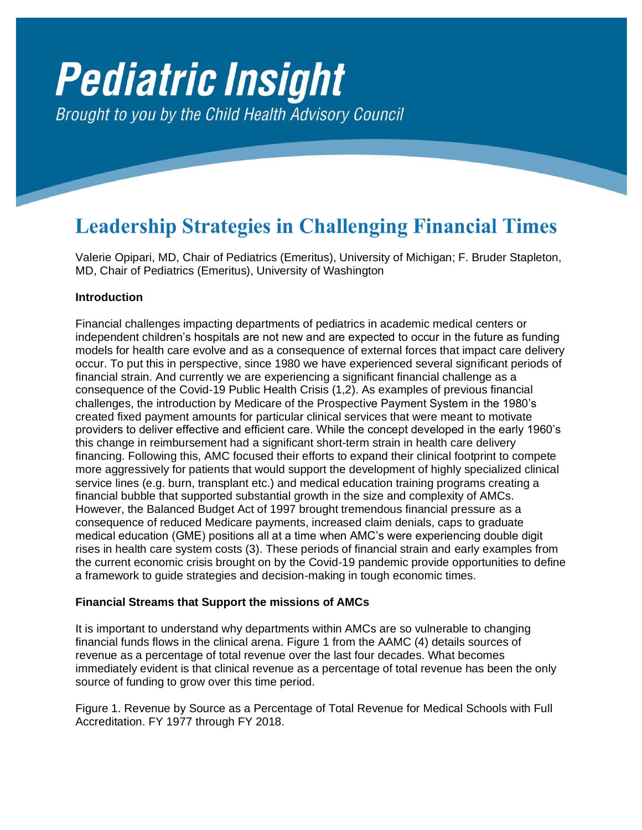# **Pediatric Insight** Brought to you by the Child Health Advisory Council

# **Leadership Strategies in Challenging Financial Times**

Valerie Opipari, MD, Chair of Pediatrics (Emeritus), University of Michigan; F. Bruder Stapleton, MD, Chair of Pediatrics (Emeritus), University of Washington

# **Introduction**

Financial challenges impacting departments of pediatrics in academic medical centers or independent children's hospitals are not new and are expected to occur in the future as funding models for health care evolve and as a consequence of external forces that impact care delivery occur. To put this in perspective, since 1980 we have experienced several significant periods of financial strain. And currently we are experiencing a significant financial challenge as a consequence of the Covid-19 Public Health Crisis (1,2). As examples of previous financial challenges, the introduction by Medicare of the Prospective Payment System in the 1980's created fixed payment amounts for particular clinical services that were meant to motivate providers to deliver effective and efficient care. While the concept developed in the early 1960's this change in reimbursement had a significant short-term strain in health care delivery financing. Following this, AMC focused their efforts to expand their clinical footprint to compete more aggressively for patients that would support the development of highly specialized clinical service lines (e.g. burn, transplant etc.) and medical education training programs creating a financial bubble that supported substantial growth in the size and complexity of AMCs. However, the Balanced Budget Act of 1997 brought tremendous financial pressure as a consequence of reduced Medicare payments, increased claim denials, caps to graduate medical education (GME) positions all at a time when AMC's were experiencing double digit rises in health care system costs (3). These periods of financial strain and early examples from the current economic crisis brought on by the Covid-19 pandemic provide opportunities to define a framework to guide strategies and decision-making in tough economic times.

# **Financial Streams that Support the missions of AMCs**

It is important to understand why departments within AMCs are so vulnerable to changing financial funds flows in the clinical arena. Figure 1 from the AAMC (4) details sources of revenue as a percentage of total revenue over the last four decades. What becomes immediately evident is that clinical revenue as a percentage of total revenue has been the only source of funding to grow over this time period.

Figure 1. Revenue by Source as a Percentage of Total Revenue for Medical Schools with Full Accreditation. FY 1977 through FY 2018.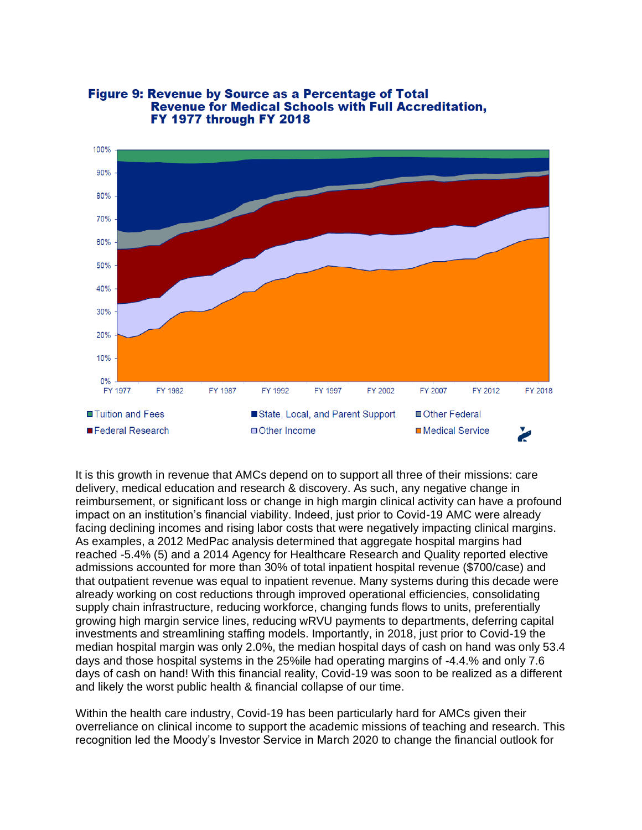

#### **Figure 9: Revenue by Source as a Percentage of Total Revenue for Medical Schools with Full Accreditation, FY 1977 through FY 2018**

It is this growth in revenue that AMCs depend on to support all three of their missions: care delivery, medical education and research & discovery. As such, any negative change in reimbursement, or significant loss or change in high margin clinical activity can have a profound impact on an institution's financial viability. Indeed, just prior to Covid-19 AMC were already facing declining incomes and rising labor costs that were negatively impacting clinical margins. As examples, a 2012 MedPac analysis determined that aggregate hospital margins had reached -5.4% (5) and a 2014 Agency for Healthcare Research and Quality reported elective admissions accounted for more than 30% of total inpatient hospital revenue (\$700/case) and that outpatient revenue was equal to inpatient revenue. Many systems during this decade were already working on cost reductions through improved operational efficiencies, consolidating supply chain infrastructure, reducing workforce, changing funds flows to units, preferentially growing high margin service lines, reducing wRVU payments to departments, deferring capital investments and streamlining staffing models. Importantly, in 2018, just prior to Covid-19 the median hospital margin was only 2.0%, the median hospital days of cash on hand was only 53.4 days and those hospital systems in the 25%ile had operating margins of -4.4.% and only 7.6 days of cash on hand! With this financial reality, Covid-19 was soon to be realized as a different and likely the worst public health & financial collapse of our time.

Within the health care industry, Covid-19 has been particularly hard for AMCs given their overreliance on clinical income to support the academic missions of teaching and research. This recognition led the Moody's Investor Service in March 2020 to change the financial outlook for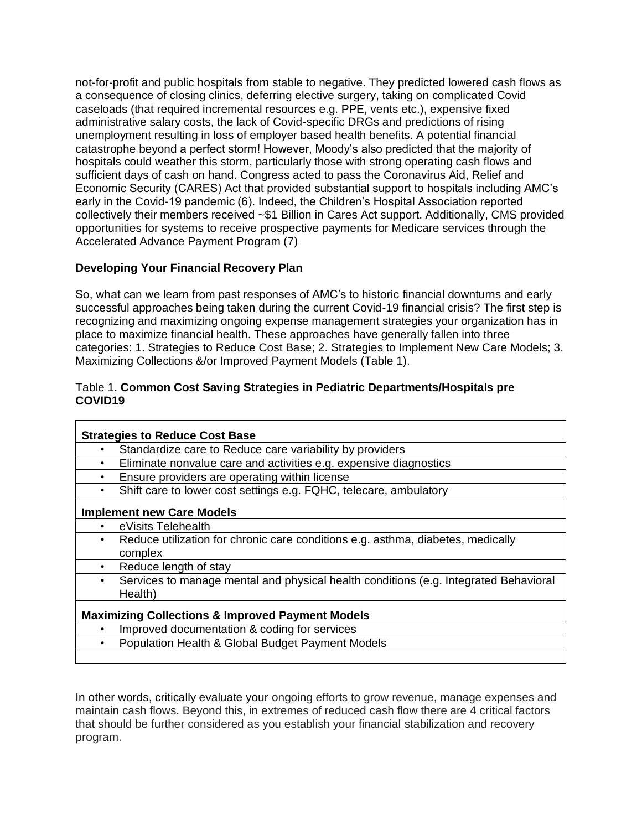not-for-profit and public hospitals from stable to negative. They predicted lowered cash flows as a consequence of closing clinics, deferring elective surgery, taking on complicated Covid caseloads (that required incremental resources e.g. PPE, vents etc.), expensive fixed administrative salary costs, the lack of Covid-specific DRGs and predictions of rising unemployment resulting in loss of employer based health benefits. A potential financial catastrophe beyond a perfect storm! However, Moody's also predicted that the majority of hospitals could weather this storm, particularly those with strong operating cash flows and sufficient days of cash on hand. Congress acted to pass the Coronavirus Aid, Relief and Economic Security (CARES) Act that provided substantial support to hospitals including AMC's early in the Covid-19 pandemic (6). Indeed, the Children's Hospital Association reported collectively their members received ~\$1 Billion in Cares Act support. Additionally, CMS provided opportunities for systems to receive prospective payments for Medicare services through the Accelerated Advance Payment Program (7)

# **Developing Your Financial Recovery Plan**

So, what can we learn from past responses of AMC's to historic financial downturns and early successful approaches being taken during the current Covid-19 financial crisis? The first step is recognizing and maximizing ongoing expense management strategies your organization has in place to maximize financial health. These approaches have generally fallen into three categories: 1. Strategies to Reduce Cost Base; 2. Strategies to Implement New Care Models; 3. Maximizing Collections &/or Improved Payment Models (Table 1).

### Table 1. **Common Cost Saving Strategies in Pediatric Departments/Hospitals pre COVID19**

| <b>Strategies to Reduce Cost Base</b>                       |                                                                                      |
|-------------------------------------------------------------|--------------------------------------------------------------------------------------|
| $\bullet$                                                   | Standardize care to Reduce care variability by providers                             |
| $\bullet$                                                   | Eliminate nonvalue care and activities e.g. expensive diagnostics                    |
| $\bullet$                                                   | Ensure providers are operating within license                                        |
| $\bullet$                                                   | Shift care to lower cost settings e.g. FQHC, telecare, ambulatory                    |
| <b>Implement new Care Models</b>                            |                                                                                      |
|                                                             | eVisits Telehealth                                                                   |
| $\bullet$                                                   | Reduce utilization for chronic care conditions e.g. asthma, diabetes, medically      |
|                                                             | complex                                                                              |
| $\bullet$                                                   | Reduce length of stay                                                                |
| $\bullet$                                                   | Services to manage mental and physical health conditions (e.g. Integrated Behavioral |
|                                                             | Health)                                                                              |
| <b>Maximizing Collections &amp; Improved Payment Models</b> |                                                                                      |
|                                                             | Improved documentation & coding for services                                         |
|                                                             | Population Health & Global Budget Payment Models                                     |
|                                                             |                                                                                      |

In other words, critically evaluate your ongoing efforts to grow revenue, manage expenses and maintain cash flows. Beyond this, in extremes of reduced cash flow there are 4 critical factors that should be further considered as you establish your financial stabilization and recovery program.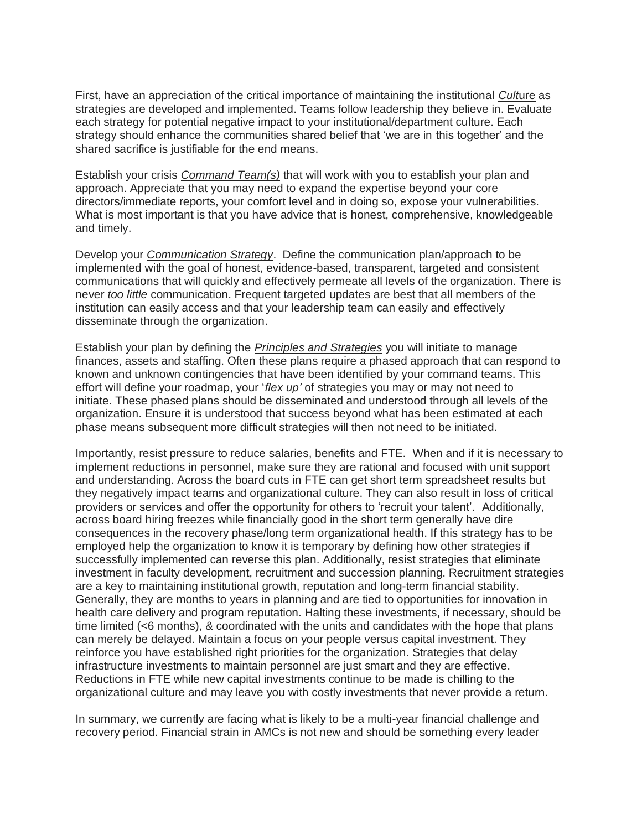First, have an appreciation of the critical importance of maintaining the institutional *Cult*ure as strategies are developed and implemented. Teams follow leadership they believe in. Evaluate each strategy for potential negative impact to your institutional/department culture. Each strategy should enhance the communities shared belief that 'we are in this together' and the shared sacrifice is justifiable for the end means.

Establish your crisis *Command Team(s)* that will work with you to establish your plan and approach. Appreciate that you may need to expand the expertise beyond your core directors/immediate reports, your comfort level and in doing so, expose your vulnerabilities. What is most important is that you have advice that is honest, comprehensive, knowledgeable and timely.

Develop your *Communication Strategy*. Define the communication plan/approach to be implemented with the goal of honest, evidence-based, transparent, targeted and consistent communications that will quickly and effectively permeate all levels of the organization. There is never *too little* communication. Frequent targeted updates are best that all members of the institution can easily access and that your leadership team can easily and effectively disseminate through the organization.

Establish your plan by defining the *Principles and Strategies* you will initiate to manage finances, assets and staffing. Often these plans require a phased approach that can respond to known and unknown contingencies that have been identified by your command teams. This effort will define your roadmap, your '*flex up'* of strategies you may or may not need to initiate. These phased plans should be disseminated and understood through all levels of the organization. Ensure it is understood that success beyond what has been estimated at each phase means subsequent more difficult strategies will then not need to be initiated.

Importantly, resist pressure to reduce salaries, benefits and FTE. When and if it is necessary to implement reductions in personnel, make sure they are rational and focused with unit support and understanding. Across the board cuts in FTE can get short term spreadsheet results but they negatively impact teams and organizational culture. They can also result in loss of critical providers or services and offer the opportunity for others to 'recruit your talent'. Additionally, across board hiring freezes while financially good in the short term generally have dire consequences in the recovery phase/long term organizational health. If this strategy has to be employed help the organization to know it is temporary by defining how other strategies if successfully implemented can reverse this plan. Additionally, resist strategies that eliminate investment in faculty development, recruitment and succession planning. Recruitment strategies are a key to maintaining institutional growth, reputation and long-term financial stability. Generally, they are months to years in planning and are tied to opportunities for innovation in health care delivery and program reputation. Halting these investments, if necessary, should be time limited (<6 months), & coordinated with the units and candidates with the hope that plans can merely be delayed. Maintain a focus on your people versus capital investment. They reinforce you have established right priorities for the organization. Strategies that delay infrastructure investments to maintain personnel are just smart and they are effective. Reductions in FTE while new capital investments continue to be made is chilling to the organizational culture and may leave you with costly investments that never provide a return.

In summary, we currently are facing what is likely to be a multi-year financial challenge and recovery period. Financial strain in AMCs is not new and should be something every leader